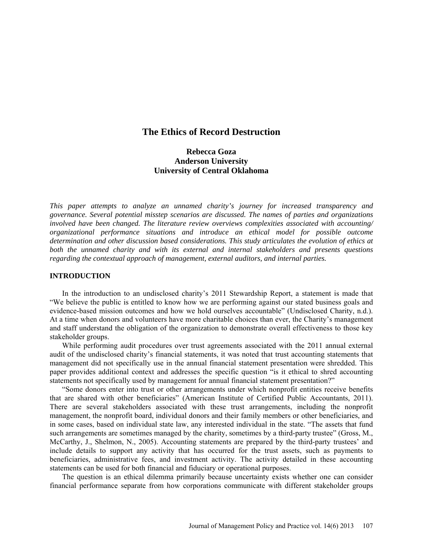## **The Ethics of Record Destruction**

# **Rebecca Goza Anderson University University of Central Oklahoma**

*This paper attempts to analyze an unnamed charity's journey for increased transparency and governance. Several potential misstep scenarios are discussed. The names of parties and organizations involved have been changed. The literature review overviews complexities associated with accounting/ organizational performance situations and introduce an ethical model for possible outcome determination and other discussion based considerations. This study articulates the evolution of ethics at both the unnamed charity and with its external and internal stakeholders and presents questions regarding the contextual approach of management, external auditors, and internal parties.*

### **INTRODUCTION**

In the introduction to an undisclosed charity's 2011 Stewardship Report, a statement is made that "We believe the public is entitled to know how we are performing against our stated business goals and evidence-based mission outcomes and how we hold ourselves accountable" (Undisclosed Charity, n.d.). At a time when donors and volunteers have more charitable choices than ever, the Charity's management and staff understand the obligation of the organization to demonstrate overall effectiveness to those key stakeholder groups.

While performing audit procedures over trust agreements associated with the 2011 annual external audit of the undisclosed charity's financial statements, it was noted that trust accounting statements that management did not specifically use in the annual financial statement presentation were shredded. This paper provides additional context and addresses the specific question "is it ethical to shred accounting statements not specifically used by management for annual financial statement presentation?"

"Some donors enter into trust or other arrangements under which nonprofit entities receive benefits that are shared with other beneficiaries" (American Institute of Certified Public Accountants, 2011). There are several stakeholders associated with these trust arrangements, including the nonprofit management, the nonprofit board, individual donors and their family members or other beneficiaries, and in some cases, based on individual state law, any interested individual in the state. "The assets that fund such arrangements are sometimes managed by the charity, sometimes by a third-party trustee" (Gross, M., McCarthy, J., Shelmon, N., 2005). Accounting statements are prepared by the third-party trustees' and include details to support any activity that has occurred for the trust assets, such as payments to beneficiaries, administrative fees, and investment activity. The activity detailed in these accounting statements can be used for both financial and fiduciary or operational purposes.

The question is an ethical dilemma primarily because uncertainty exists whether one can consider financial performance separate from how corporations communicate with different stakeholder groups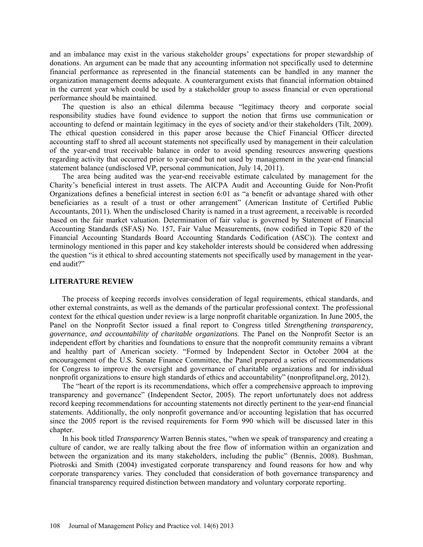and an imbalance may exist in the various stakeholder groups' expectations for proper stewardship of donations. An argument can be made that any accounting information not specifically used to determine financial performance as represented in the financial statements can be handled in any manner the organization management deems adequate. A counterargument exists that financial information obtained in the current year which could be used by a stakeholder group to assess financial or even operational performance should be maintained.

The question is also an ethical dilemma because "legitimacy theory and corporate social responsibility studies have found evidence to support the notion that firms use communication or accounting to defend or maintain legitimacy in the eyes of society and/or their stakeholders (Tilt, 2009). The ethical question considered in this paper arose because the Chief Financial Officer directed accounting staff to shred all account statements not specifically used by management in their calculation of the year-end trust receivable balance in order to avoid spending resources answering questions regarding activity that occurred prior to year-end but not used by management in the year-end financial statement balance (undisclosed VP, personal communication, July 14, 2011).

The area being audited was the year-end receivable estimate calculated by management for the Charity's beneficial interest in trust assets. The AICPA Audit and Accounting Guide for Non-Profit Organizations defines a beneficial interest in section 6:01 as "a benefit or advantage shared with other beneficiaries as a result of a trust or other arrangement" (American Institute of Certified Public Accountants, 2011). When the undisclosed Charity is named in a trust agreement, a receivable is recorded based on the fair market valuation. Determination of fair value is governed by Statement of Financial Accounting Standards (SFAS) No. 157, Fair Value Measurements, (now codified in Topic 820 of the Financial Accounting Standards Board Accounting Standards Codification (ASC)). The context and terminology mentioned in this paper and key stakeholder interests should be considered when addressing the question "is it ethical to shred accounting statements not specifically used by management in the yearend audit?"

## **LITERATURE REVIEW**

The process of keeping records involves consideration of legal requirements, ethical standards, and other external constraints, as well as the demands of the particular professional context. The professional context for the ethical question under review is a large nonprofit charitable organization. In June 2005, the Panel on the Nonprofit Sector issued a final report to Congress titled *Strengthening transparency, governance, and accountability of charitable organizations*. The Panel on the Nonprofit Sector is an independent effort by charities and foundations to [ensure that the nonprofit community remains a vibrant](http://www.nonprofitpanel.org/news_impacts/index.html)  [and healthy part of American society.](http://www.nonprofitpanel.org/news_impacts/index.html) "Formed by Independent Sector in October 2004 at the encouragement of the U.S. Senate Finance Committee, the Panel prepared a series of recommendations for Congress to improve the oversight and governance of charitable organizations and for individual nonprofit organizations to ensure high standards of ethics and accountability" (nonprofitpanel.org, 2012).

The "heart of the report is its recommendations, which offer a comprehensive approach to improving transparency and governance" (Independent Sector, 2005). The report unfortunately does not address record keeping recommendations for accounting statements not directly pertinent to the year-end financial statements. Additionally, the only nonprofit governance and/or accounting legislation that has occurred since the 2005 report is the revised requirements for Form 990 which will be discussed later in this chapter.

In his book titled *Transparency* Warren Bennis states, "when we speak of transparency and creating a culture of candor, we are really talking about the free flow of information within an organization and between the organization and its many stakeholders, including the public" (Bennis, 2008). Bushman, Piotroski and Smith (2004) investigated corporate transparency and found reasons for how and why corporate transparency varies. They concluded that consideration of both governance transparency and financial transparency required distinction between mandatory and voluntary corporate reporting.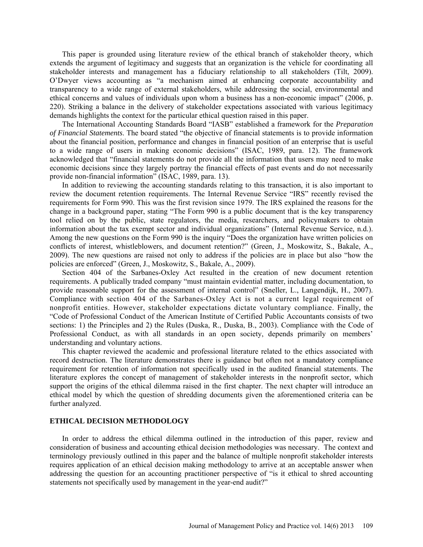This paper is grounded using literature review of the ethical branch of stakeholder theory, which extends the argument of legitimacy and suggests that an organization is the vehicle for coordinating all stakeholder interests and management has a fiduciary relationship to all stakeholders (Tilt, 2009). O'Dwyer views accounting as "a mechanism aimed at enhancing corporate accountability and transparency to a wide range of external stakeholders, while addressing the social, environmental and ethical concerns and values of individuals upon whom a business has a non-economic impact" (2006, p. 220). Striking a balance in the delivery of stakeholder expectations associated with various legitimacy demands highlights the context for the particular ethical question raised in this paper.

The International Accounting Standards Board "IASB" established a framework for the *Preparation of Financial Statements*. The board stated "the objective of financial statements is to provide information about the financial position, performance and changes in financial position of an enterprise that is useful to a wide range of users in making economic decisions" (ISAC, 1989, para. 12). The framework acknowledged that "financial statements do not provide all the information that users may need to make economic decisions since they largely portray the financial effects of past events and do not necessarily provide non-financial information" (ISAC, 1989, para. 13).

In addition to reviewing the accounting standards relating to this transaction, it is also important to review the document retention requirements. The Internal Revenue Service "IRS" recently revised the requirements for Form 990. This was the first revision since 1979. The IRS explained the reasons for the change in a background paper, stating "The Form 990 is a public document that is the key transparency tool relied on by the public, state regulators, the media, researchers, and policymakers to obtain information about the tax exempt sector and individual organizations" (Internal Revenue Service, n.d.). Among the new questions on the Form 990 is the inquiry "Does the organization have written policies on conflicts of interest, whistleblowers, and document retention?" (Green, J., Moskowitz, S., Bakale, A., 2009). The new questions are raised not only to address if the policies are in place but also "how the policies are enforced" (Green, J., Moskowitz, S., Bakale, A., 2009).

Section 404 of the Sarbanes-Oxley Act resulted in the creation of new document retention requirements. A publically traded company "must maintain evidential matter, including documentation, to provide reasonable support for the assessment of internal control" (Sneller, L., Langendijk, H., 2007). Compliance with section 404 of the Sarbanes-Oxley Act is not a current legal requirement of nonprofit entities. However, stakeholder expectations dictate voluntary compliance. Finally, the "Code of Professional Conduct of the American Institute of Certified Public Accountants consists of two sections: 1) the Principles and 2) the Rules (Duska, R., Duska, B., 2003). Compliance with the Code of Professional Conduct, as with all standards in an open society, depends primarily on members' understanding and voluntary actions.

This chapter reviewed the academic and professional literature related to the ethics associated with record destruction. The literature demonstrates there is guidance but often not a mandatory compliance requirement for retention of information not specifically used in the audited financial statements. The literature explores the concept of management of stakeholder interests in the nonprofit sector, which support the origins of the ethical dilemma raised in the first chapter. The next chapter will introduce an ethical model by which the question of shredding documents given the aforementioned criteria can be further analyzed.

### **ETHICAL DECISION METHODOLOGY**

In order to address the ethical dilemma outlined in the introduction of this paper, review and consideration of business and accounting ethical decision methodologies was necessary. The context and terminology previously outlined in this paper and the balance of multiple nonprofit stakeholder interests requires application of an ethical decision making methodology to arrive at an acceptable answer when addressing the question for an accounting practitioner perspective of "is it ethical to shred accounting statements not specifically used by management in the year-end audit?"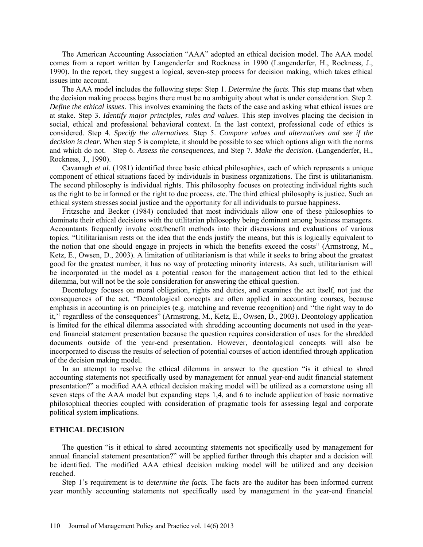The American Accounting Association "AAA" adopted an ethical decision model. The AAA model comes from a report written by Langenderfer and Rockness in 1990 (Langenderfer, H., Rockness, J., 1990). In the report, they suggest a logical, seven-step process for decision making, which takes ethical issues into account.

The AAA model includes the following steps: Step 1. *Determine the facts.* This step means that when the decision making process begins there must be no ambiguity about what is under consideration. Step 2. *Define the ethical issues.* This involves examining the facts of the case and asking what ethical issues are at stake. Step 3. *Identify major principles, rules and values*. This step involves placing the decision in social, ethical and professional behavioral context. In the last context, professional code of ethics is considered. Step 4. *Specify the alternatives*. Step 5. *Compare values and alternatives and see if the decision is clear*. When step 5 is complete, it should be possible to see which options align with the norms and which do not. Step 6. *Assess the consequences*, and Step 7. *Make the decision*. (Langenderfer, H., Rockness, J., 1990).

Cavanagh *et al.* (1981) identified three basic ethical philosophies, each of which represents a unique component of ethical situations faced by individuals in business organizations. The first is utilitarianism. The second philosophy is individual rights. This philosophy focuses on protecting individual rights such as the right to be informed or the right to due process, etc. The third ethical philosophy is justice. Such an ethical system stresses social justice and the opportunity for all individuals to pursue happiness.

Fritzsche and Becker (1984) concluded that most individuals allow one of these philosophies to dominate their ethical decisions with the utilitarian philosophy being dominant among business managers. Accountants frequently invoke cost/benefit methods into their discussions and evaluations of various topics. "Utilitarianism rests on the idea that the ends justify the means, but this is logically equivalent to the notion that one should engage in projects in which the benefits exceed the costs" (Armstrong, M., Ketz, E., Owsen, D., 2003). A limitation of utilitarianism is that while it seeks to bring about the greatest good for the greatest number, it has no way of protecting minority interests. As such, utilitarianism will be incorporated in the model as a potential reason for the management action that led to the ethical dilemma, but will not be the sole consideration for answering the ethical question.

Deontology focuses on moral obligation, rights and duties, and examines the act itself, not just the consequences of the act. "Deontological concepts are often applied in accounting courses, because emphasis in accounting is on principles (e.g. matching and revenue recognition) and ''the right way to do it,'' regardless of the consequences" (Armstrong, M., Ketz, E., Owsen, D., 2003). Deontology application is limited for the ethical dilemma associated with shredding accounting documents not used in the yearend financial statement presentation because the question requires consideration of uses for the shredded documents outside of the year-end presentation. However, deontological concepts will also be incorporated to discuss the results of selection of potential courses of action identified through application of the decision making model.

In an attempt to resolve the ethical dilemma in answer to the question "is it ethical to shred accounting statements not specifically used by management for annual year-end audit financial statement presentation?" a modified AAA ethical decision making model will be utilized as a cornerstone using all seven steps of the AAA model but expanding steps 1,4, and 6 to include application of basic normative philosophical theories coupled with consideration of pragmatic tools for assessing legal and corporate political system implications.

### **ETHICAL DECISION**

The question "is it ethical to shred accounting statements not specifically used by management for annual financial statement presentation?" will be applied further through this chapter and a decision will be identified. The modified AAA ethical decision making model will be utilized and any decision reached.

Step 1's requirement is to *determine the facts.* The facts are the auditor has been informed current year monthly accounting statements not specifically used by management in the year-end financial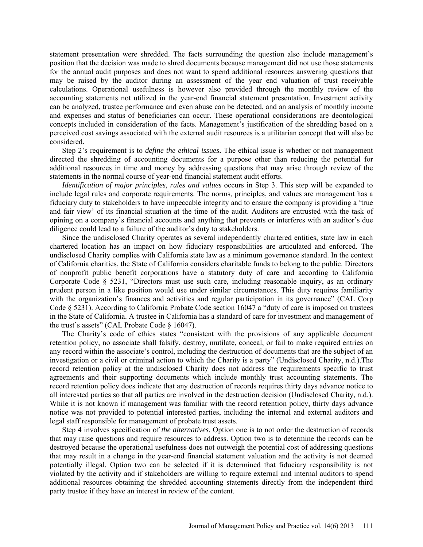statement presentation were shredded. The facts surrounding the question also include management's position that the decision was made to shred documents because management did not use those statements for the annual audit purposes and does not want to spend additional resources answering questions that may be raised by the auditor during an assessment of the year end valuation of trust receivable calculations. Operational usefulness is however also provided through the monthly review of the accounting statements not utilized in the year-end financial statement presentation. Investment activity can be analyzed, trustee performance and even abuse can be detected, and an analysis of monthly income and expenses and status of beneficiaries can occur. These operational considerations are deontological concepts included in consideration of the facts. Management's justification of the shredding based on a perceived cost savings associated with the external audit resources is a utilitarian concept that will also be considered.

Step 2's requirement is to *define the ethical issues***.** The ethical issue is whether or not management directed the shredding of accounting documents for a purpose other than reducing the potential for additional resources in time and money by addressing questions that may arise through review of the statements in the normal course of year-end financial statement audit efforts.

*Identification of major principles, rules and values* occurs in Step 3. This step will be expanded to include legal rules and corporate requirements. The norms, principles, and values are management has a fiduciary duty to stakeholders to have impeccable integrity and to ensure the company is providing a 'true and fair view' of its financial situation at the time of the audit. Auditors are entrusted with the task of opining on a company's financial accounts and anything that prevents or interferes with an auditor's due diligence could lead to a failure of the auditor's duty to stakeholders.

Since the undisclosed Charity operates as several independently chartered entities, state law in each chartered location has an impact on how fiduciary responsibilities are articulated and enforced. The undisclosed Charity complies with California state law as a minimum governance standard. In the context of California charities, the State of California considers charitable funds to belong to the public. Directors of nonprofit public benefit corporations have a statutory duty of care and according to California Corporate Code § 5231, "Directors must use such care, including reasonable inquiry, as an ordinary prudent person in a like position would use under similar circumstances. This duty requires familiarity with the organization's finances and activities and regular participation in its governance" (CAL Corp Code § 5231). According to California Probate Code section 16047 a "duty of care is imposed on trustees in the State of California. A trustee in California has a standard of care for investment and management of the trust's assets" (CAL Probate Code § 16047).

The Charity's code of ethics states "consistent with the provisions of any applicable document retention policy, no associate shall falsify, destroy, mutilate, conceal, or fail to make required entries on any record within the associate's control, including the destruction of documents that are the subject of an investigation or a civil or criminal action to which the Charity is a party" (Undisclosed Charity, n.d.).The record retention policy at the undisclosed Charity does not address the requirements specific to trust agreements and their supporting documents which include monthly trust accounting statements. The record retention policy does indicate that any destruction of records requires thirty days advance notice to all interested parties so that all parties are involved in the destruction decision (Undisclosed Charity, n.d.). While it is not known if management was familiar with the record retention policy, thirty days advance notice was not provided to potential interested parties, including the internal and external auditors and legal staff responsible for management of probate trust assets.

Step 4 involves specification of *the alternatives*. Option one is to not order the destruction of records that may raise questions and require resources to address. Option two is to determine the records can be destroyed because the operational usefulness does not outweigh the potential cost of addressing questions that may result in a change in the year-end financial statement valuation and the activity is not deemed potentially illegal. Option two can be selected if it is determined that fiduciary responsibility is not violated by the activity and if stakeholders are willing to require external and internal auditors to spend additional resources obtaining the shredded accounting statements directly from the independent third party trustee if they have an interest in review of the content.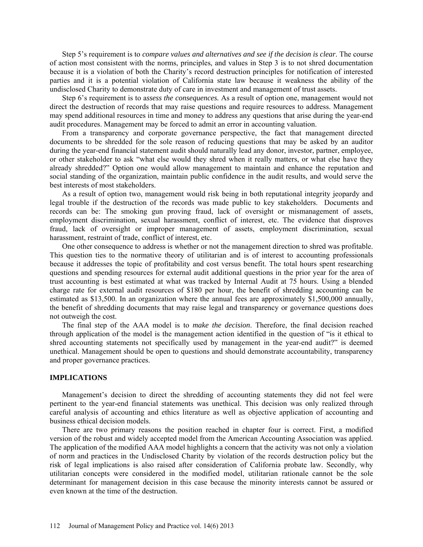Step 5's requirement is to *compare values and alternatives and see if the decision is clear*. The course of action most consistent with the norms, principles, and values in Step 3 is to not shred documentation because it is a violation of both the Charity's record destruction principles for notification of interested parties and it is a potential violation of California state law because it weakness the ability of the undisclosed Charity to demonstrate duty of care in investment and management of trust assets.

Step 6's requirement is to a*ssess the consequences.* As a result of option one, management would not direct the destruction of records that may raise questions and require resources to address. Management may spend additional resources in time and money to address any questions that arise during the year-end audit procedures. Management may be forced to admit an error in accounting valuation.

From a transparency and corporate governance perspective, the fact that management directed documents to be shredded for the sole reason of reducing questions that may be asked by an auditor during the year-end financial statement audit should naturally lead any donor, investor, partner, employee, or other stakeholder to ask "what else would they shred when it really matters, or what else have they already shredded?" Option one would allow management to maintain and enhance the reputation and social standing of the organization, maintain public confidence in the audit results, and would serve the best interests of most stakeholders.

As a result of option two, management would risk being in both reputational integrity jeopardy and legal trouble if the destruction of the records was made public to key stakeholders. Documents and records can be: The smoking gun proving fraud, lack of oversight or mismanagement of assets, employment discrimination, sexual harassment, conflict of interest, etc. The evidence that disproves fraud, lack of oversight or improper management of assets, employment discrimination, sexual harassment, restraint of trade, conflict of interest, etc.

One other consequence to address is whether or not the management direction to shred was profitable. This question ties to the normative theory of utilitarian and is of interest to accounting professionals because it addresses the topic of profitability and cost versus benefit. The total hours spent researching questions and spending resources for external audit additional questions in the prior year for the area of trust accounting is best estimated at what was tracked by Internal Audit at 75 hours. Using a blended charge rate for external audit resources of \$180 per hour, the benefit of shredding accounting can be estimated as \$13,500. In an organization where the annual fees are approximately \$1,500,000 annually, the benefit of shredding documents that may raise legal and transparency or governance questions does not outweigh the cost.

The final step of the AAA model is to *make the decision*. Therefore, the final decision reached through application of the model is the management action identified in the question of "is it ethical to shred accounting statements not specifically used by management in the year-end audit?" is deemed unethical. Management should be open to questions and should demonstrate accountability, transparency and proper governance practices.

### **IMPLICATIONS**

Management's decision to direct the shredding of accounting statements they did not feel were pertinent to the year-end financial statements was unethical. This decision was only realized through careful analysis of accounting and ethics literature as well as objective application of accounting and business ethical decision models.

There are two primary reasons the position reached in chapter four is correct. First, a modified version of the robust and widely accepted model from the American Accounting Association was applied. The application of the modified AAA model highlights a concern that the activity was not only a violation of norm and practices in the Undisclosed Charity by violation of the records destruction policy but the risk of legal implications is also raised after consideration of California probate law. Secondly, why utilitarian concepts were considered in the modified model, utilitarian rationale cannot be the sole determinant for management decision in this case because the minority interests cannot be assured or even known at the time of the destruction.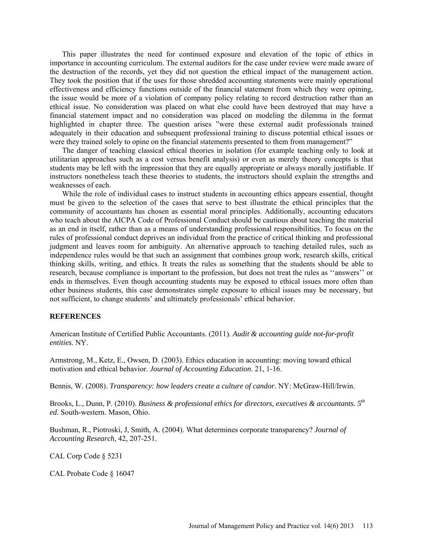This paper illustrates the need for continued exposure and elevation of the topic of ethics in importance in accounting curriculum. The external auditors for the case under review were made aware of the destruction of the records, yet they did not question the ethical impact of the management action. They took the position that if the uses for those shredded accounting statements were mainly operational effectiveness and efficiency functions outside of the financial statement from which they were opining, the issue would be more of a violation of company policy relating to record destruction rather than an ethical issue. No consideration was placed on what else could have been destroyed that may have a financial statement impact and no consideration was placed on modeling the dilemma in the format highlighted in chapter three. The question arises "were these external audit professionals trained adequately in their education and subsequent professional training to discuss potential ethical issues or were they trained solely to opine on the financial statements presented to them from management?"

The danger of teaching classical ethical theories in isolation (for example teaching only to look at utilitarian approaches such as a cost versus benefit analysis) or even as merely theory concepts is that students may be left with the impression that they are equally appropriate or always morally justifiable. If instructors nonetheless teach these theories to students, the instructors should explain the strengths and weaknesses of each.

While the role of individual cases to instruct students in accounting ethics appears essential, thought must be given to the selection of the cases that serve to best illustrate the ethical principles that the community of accountants has chosen as essential moral principles. Additionally, accounting educators who teach about the AICPA Code of Professional Conduct should be cautious about teaching the material as an end in itself, rather than as a means of understanding professional responsibilities. To focus on the rules of professional conduct deprives an individual from the practice of critical thinking and professional judgment and leaves room for ambiguity. An alternative approach to teaching detailed rules, such as independence rules would be that such an assignment that combines group work, research skills, critical thinking skills, writing, and ethics. It treats the rules as something that the students should be able to research, because compliance is important to the profession, but does not treat the rules as ''answers'' or ends in themselves. Even though accounting students may be exposed to ethical issues more often than other business students, this case demonstrates simple exposure to ethical issues may be necessary, but not sufficient, to change students' and ultimately professionals' ethical behavior.

### **REFERENCES**

American Institute of Certified Public Accountants. (2011). *Audit & accounting guide not-for-profit entities.* NY.

Armstrong, M., Ketz, E., Owsen, D. (2003). Ethics education in accounting: moving toward ethical motivation and ethical behavior. *Journal of Accounting Education*. 21, 1-16.

Bennis, W. (2008). *Transparency: how leaders create a culture of candor*. NY: McGraw-Hill/Irwin.

Brooks, L., Dunn, P. (2010). *Business & professional ethics for directors, executives & accountants. 5th ed*. South-western. Mason, Ohio.

Bushman, R., Piotroski, J, Smith, A. (2004). What determines corporate transparency? *Journal of Accounting Research*, 42, 207-251.

CAL Corp Code § 5231

CAL Probate Code § 16047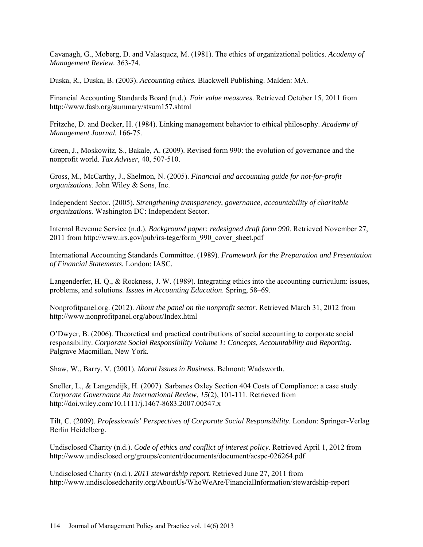Cavanagh, G., Moberg, D. and Valasqucz, M. (1981). The ethics of organizational politics. *Academy of Management Review.* 363-74.

Duska, R., Duska, B. (2003). *Accounting ethics.* Blackwell Publishing. Malden: MA.

Financial Accounting Standards Board (n.d.). *Fair value measures*. Retrieved October 15, 2011 from http://www.fasb.org/summary/stsum157.shtml

Fritzche, D. and Becker, H. (1984). Linking management behavior to ethical philosophy. *Academy of Management Journal.* 166-75.

Green, J., Moskowitz, S., Bakale, A. (2009). Revised form 990: the evolution of governance and the nonprofit world. *Tax Adviser*, 40, 507-510.

Gross, M., McCarthy, J., Shelmon, N. (2005). *Financial and accounting guide for not-for-profit organizations.* John Wiley & Sons, Inc.

Independent Sector. (2005). *Strengthening transparency, governance, accountability of charitable organizations.* Washington DC: Independent Sector.

Internal Revenue Service (n.d.). *Background paper: redesigned draft form 990*. Retrieved November 27, 2011 from http://www.irs.gov/pub/irs-tege/form\_990\_cover\_sheet.pdf

International Accounting Standards Committee. (1989). *Framework for the Preparation and Presentation of Financial Statements.* London: IASC.

Langenderfer, H. Q., & Rockness, J. W. (1989). Integrating ethics into the accounting curriculum: issues, problems, and solutions. *Issues in Accounting Education*. Spring, 58–69.

Nonprofitpanel.org. (2012). *About the panel on the nonprofit sector*. Retrieved March 31, 2012 from http://www.nonprofitpanel.org/about/Index.html

O'Dwyer, B. (2006). Theoretical and practical contributions of social accounting to corporate social responsibility. *Corporate Social Responsibility Volume 1: Concepts, Accountability and Reporting.*  Palgrave Macmillan, New York.

Shaw, W., Barry, V. (2001). *Moral Issues in Business*. Belmont: Wadsworth.

Sneller, L., & Langendijk, H. (2007). Sarbanes Oxley Section 404 Costs of Compliance: a case study. *Corporate Governance An International Review*, *15*(2), 101-111. Retrieved from http://doi.wiley.com/10.1111/j.1467-8683.2007.00547.x

Tilt, C. (2009). *Professionals' Perspectives of Corporate Social Responsibility*. London: Springer-Verlag Berlin Heidelberg.

Undisclosed Charity (n.d.). *Code of ethics and conflict of interest policy*. Retrieved April 1, 2012 from http://www.undisclosed.org/groups/content/documents/document/acspc-026264.pdf

Undisclosed Charity (n.d.). *2011 stewardship report*. Retrieved June 27, 2011 from http://www.undisclosedcharity.org/AboutUs/WhoWeAre/FinancialInformation/stewardship-report